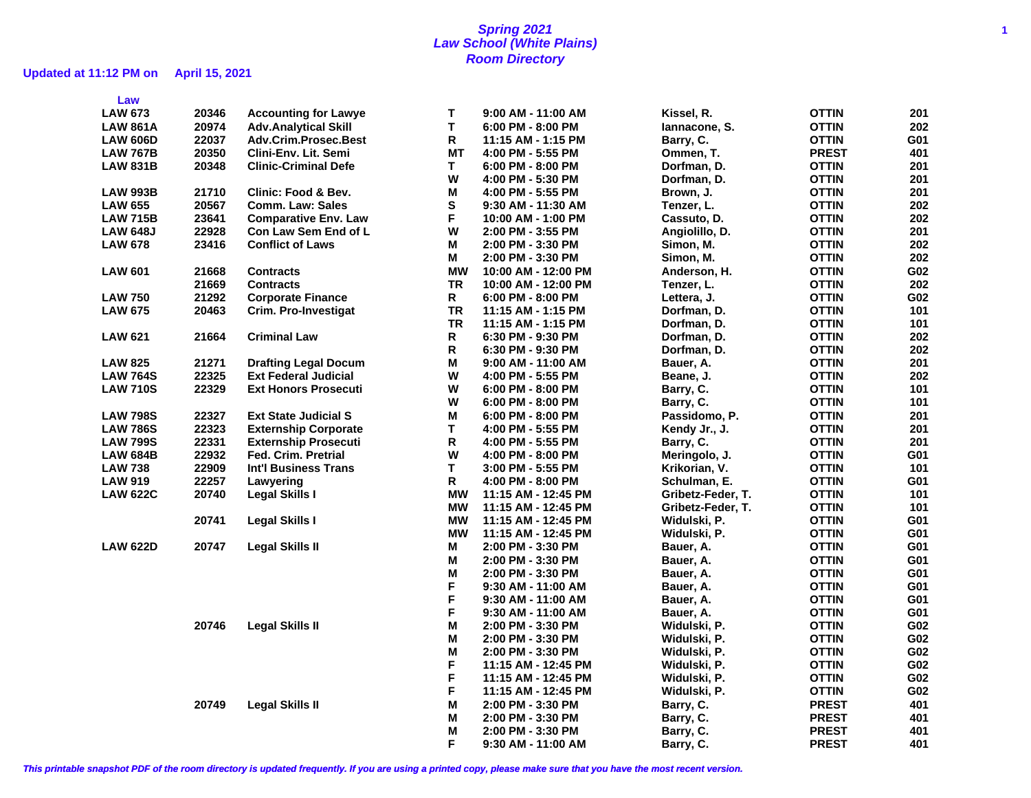## **Spring 2021 1 Law School (White Plains) Room Directory**

## **Updated at 11:12 PM on April 15, 2021**

| Law             |       |                                |           |                       |                   |              |                 |
|-----------------|-------|--------------------------------|-----------|-----------------------|-------------------|--------------|-----------------|
| <b>LAW 673</b>  | 20346 | <b>Accounting for Lawye</b>    | Т         | $9:00$ AM - 11:00 AM  | Kissel, R.        | <b>OTTIN</b> | 201             |
| <b>LAW 861A</b> | 20974 | <b>Adv.Analytical Skill</b>    | T         | $6:00$ PM - 8:00 PM   | lannacone, S.     | <b>OTTIN</b> | 202             |
| <b>LAW 606D</b> | 22037 | Adv.Crim.Prosec.Best           | R         | 11:15 AM - 1:15 PM    | Barry, C.         | OTTIN        | G01             |
| <b>LAW 767B</b> | 20350 | Clini-Env. Lit. Semi           | МT        | 4:00 PM - 5:55 PM     | Ommen, T.         | <b>PREST</b> | 401             |
| <b>LAW 831B</b> | 20348 | <b>Clinic-Criminal Defe</b>    | Τ         | $6:00$ PM - $8:00$ PM | Dorfman, D.       | OTTIN        | 201             |
|                 |       |                                | W         | 4:00 PM - 5:30 PM     | Dorfman, D.       | OTTIN        | 201             |
| <b>LAW 993B</b> | 21710 | <b>Clinic: Food &amp; Bev.</b> | Μ         | 4:00 PM - 5:55 PM     | Brown, J.         | OTTIN        | 201             |
| <b>LAW 655</b>  | 20567 | <b>Comm. Law: Sales</b>        | S         | 9:30 AM - 11:30 AM    | Tenzer, L.        | OTTIN        | 202             |
| <b>LAW 715B</b> | 23641 | <b>Comparative Env. Law</b>    | F         | 10:00 AM - 1:00 PM    | Cassuto, D.       | OTTIN        | 202             |
| <b>LAW 648J</b> | 22928 | Con Law Sem End of L           | W         | 2:00 PM - 3:55 PM     | Angiolillo, D.    | OTTIN        | 201             |
| <b>LAW 678</b>  | 23416 | <b>Conflict of Laws</b>        | Μ         | 2:00 PM - 3:30 PM     | Simon, M.         | OTTIN        | 202             |
|                 |       |                                | М         | 2:00 PM - 3:30 PM     | Simon, M.         | <b>OTTIN</b> | 202             |
| <b>LAW 601</b>  | 21668 | <b>Contracts</b>               | <b>MW</b> | 10:00 AM - 12:00 PM   | Anderson, H.      | <b>OTTIN</b> | G02             |
|                 | 21669 | <b>Contracts</b>               | TR        | 10:00 AM - 12:00 PM   | Tenzer, L.        | OTTIN        | 202             |
| <b>LAW 750</b>  | 21292 | <b>Corporate Finance</b>       | R         | $6:00$ PM - $8:00$ PM | Lettera, J.       | <b>OTTIN</b> | G02             |
| <b>LAW 675</b>  | 20463 | Crim. Pro-Investigat           | TR        | 11:15 AM - 1:15 PM    | Dorfman, D.       | OTTIN        | 101             |
|                 |       |                                | <b>TR</b> | 11:15 AM - 1:15 PM    | Dorfman, D.       | <b>OTTIN</b> | 101             |
| <b>LAW 621</b>  | 21664 | <b>Criminal Law</b>            | R         | 6:30 PM - 9:30 PM     | Dorfman, D.       | OTTIN        | 202             |
|                 |       |                                | R         | 6:30 PM - 9:30 PM     | Dorfman, D.       | OTTIN        | 202             |
| <b>LAW 825</b>  | 21271 | <b>Drafting Legal Docum</b>    | Μ         | $9:00$ AM - 11:00 AM  | Bauer, A.         | <b>OTTIN</b> | 201             |
| <b>LAW 764S</b> | 22325 | <b>Ext Federal Judicial</b>    | W         | 4:00 PM - 5:55 PM     | Beane, J.         | <b>OTTIN</b> | 202             |
| <b>LAW 710S</b> | 22329 | <b>Ext Honors Prosecuti</b>    | W         | $6:00$ PM - $8:00$ PM | Barry, C.         | <b>OTTIN</b> | 101             |
|                 |       |                                | W         | 6:00 PM - 8:00 PM     | Barry, C.         | <b>OTTIN</b> | 101             |
| <b>LAW 798S</b> | 22327 | <b>Ext State Judicial S</b>    | Μ         | $6:00$ PM - $8:00$ PM | Passidomo, P.     | OTTIN        | 201             |
| <b>LAW 786S</b> | 22323 | <b>Externship Corporate</b>    | Т         | 4:00 PM - 5:55 PM     | Kendy Jr., J.     | <b>OTTIN</b> | 201             |
| <b>LAW 799S</b> | 22331 | <b>Externship Prosecuti</b>    | R         | 4:00 PM - 5:55 PM     | Barry, C.         | <b>OTTIN</b> | 201             |
| LAW 684B        | 22932 | <b>Fed. Crim. Pretrial</b>     | W         | 4:00 PM - 8:00 PM     | Meringolo, J.     | <b>OTTIN</b> | G01             |
| <b>LAW 738</b>  | 22909 | <b>Int'l Business Trans</b>    | т         | 3:00 PM - 5:55 PM     | Krikorian, V.     | <b>OTTIN</b> | 101             |
| <b>LAW 919</b>  | 22257 | Lawyering                      | R         | 4:00 PM - 8:00 PM     | Schulman, E.      | <b>OTTIN</b> | G01             |
| <b>LAW 622C</b> | 20740 | Legal Skills I                 | <b>MW</b> | 11:15 AM - 12:45 PM   | Gribetz-Feder, T. | <b>OTTIN</b> | 101             |
|                 |       |                                | <b>MW</b> | 11:15 AM - 12:45 PM   | Gribetz-Feder, T. | <b>OTTIN</b> | 101             |
|                 | 20741 | <b>Legal Skills I</b>          | <b>MW</b> | 11:15 AM - 12:45 PM   | Widulski, P.      | <b>OTTIN</b> | G01             |
|                 |       |                                | <b>MW</b> | 11:15 AM - 12:45 PM   | Widulski, P.      | <b>OTTIN</b> | G01             |
| <b>LAW 622D</b> | 20747 | Legal Skills II                | М         | 2:00 PM - 3:30 PM     | Bauer, A.         | <b>OTTIN</b> | G01             |
|                 |       |                                | M         | 2:00 PM - 3:30 PM     | Bauer, A.         | <b>OTTIN</b> | G01             |
|                 |       |                                | Μ         | 2:00 PM - 3:30 PM     | Bauer, A.         | <b>OTTIN</b> | G01             |
|                 |       |                                | F         | 9:30 AM - 11:00 AM    | Bauer, A.         | <b>OTTIN</b> | G01             |
|                 |       |                                | F         | 9:30 AM - 11:00 AM    | Bauer, A.         | <b>OTTIN</b> | G01             |
|                 |       |                                | F         | 9:30 AM - 11:00 AM    | Bauer, A.         | <b>OTTIN</b> | G01             |
|                 | 20746 | <b>Legal Skills II</b>         | M         | 2:00 PM - 3:30 PM     | Widulski, P.      | OTTIN        | G02             |
|                 |       |                                | M         | 2:00 PM - 3:30 PM     | Widulski, P.      | OTTIN        | G <sub>02</sub> |
|                 |       |                                | M         | 2:00 PM - 3:30 PM     | Widulski, P.      | OTTIN        | G02             |
|                 |       |                                | F         | 11:15 AM - 12:45 PM   | Widulski, P.      | <b>OTTIN</b> | G <sub>02</sub> |
|                 |       |                                | F         | 11:15 AM - 12:45 PM   | Widulski, P.      | <b>OTTIN</b> | G02             |
|                 |       |                                | F         | 11:15 AM - 12:45 PM   | Widulski, P.      | <b>OTTIN</b> | G02             |
|                 | 20749 | <b>Legal Skills II</b>         | М         | 2:00 PM - 3:30 PM     | Barry, C.         | <b>PREST</b> | 401             |
|                 |       |                                | М         | 2:00 PM - 3:30 PM     | Barry, C.         | <b>PREST</b> | 401             |
|                 |       |                                | М         | 2:00 PM - 3:30 PM     | Barry, C.         | <b>PREST</b> | 401             |
|                 |       |                                | F.        | 9:30 AM - 11:00 AM    | Barry, C.         | <b>PREST</b> | 401             |
|                 |       |                                |           |                       |                   |              |                 |